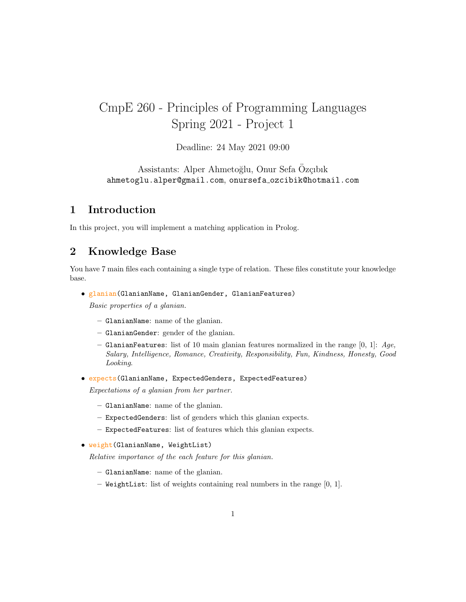# CmpE 260 - Principles of Programming Languages Spring 2021 - Project 1

Deadline: 24 May 2021 09:00

Assistants: Alper Ahmetoğlu, Onur Sefa Özçibik ahmetoglu.alper@gmail.com, onursefa ozcibik@hotmail.com

# 1 Introduction

In this project, you will implement a matching application in Prolog.

# 2 Knowledge Base

You have 7 main files each containing a single type of relation. These files constitute your knowledge base.

• glanian(GlanianName, GlanianGender, GlanianFeatures)

Basic properties of a glanian.

- GlanianName: name of the glanian.
- GlanianGender: gender of the glanian.
- GlanianFeatures: list of 10 main glanian features normalized in the range  $[0, 1]$ : Age, Salary, Intelligence, Romance, Creativity, Responsibility, Fun, Kindness, Honesty, Good Looking.
- expects(GlanianName, ExpectedGenders, ExpectedFeatures)

Expectations of a glanian from her partner.

- GlanianName: name of the glanian.
- ExpectedGenders: list of genders which this glanian expects.
- ExpectedFeatures: list of features which this glanian expects.
- weight(GlanianName, WeightList)

Relative importance of the each feature for this glanian.

- GlanianName: name of the glanian.
- WeightList: list of weights containing real numbers in the range [0, 1].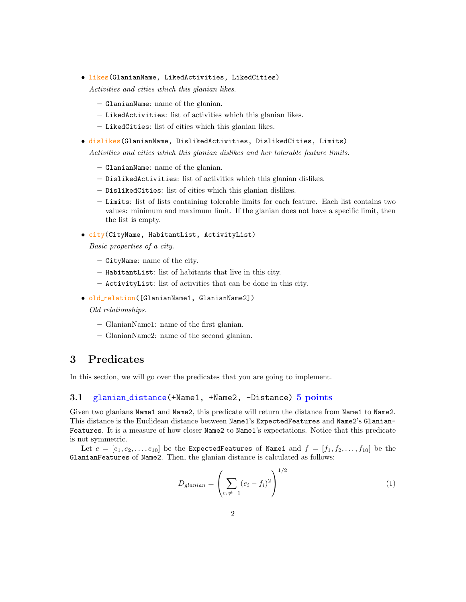• likes(GlanianName, LikedActivities, LikedCities)

Activities and cities which this glanian likes.

- GlanianName: name of the glanian.
- LikedActivities: list of activities which this glanian likes.
- LikedCities: list of cities which this glanian likes.
- dislikes(GlanianName, DislikedActivities, DislikedCities, Limits)

Activities and cities which this glanian dislikes and her tolerable feature limits.

- GlanianName: name of the glanian.
- DislikedActivities: list of activities which this glanian dislikes.
- DislikedCities: list of cities which this glanian dislikes.
- Limits: list of lists containing tolerable limits for each feature. Each list contains two values: minimum and maximum limit. If the glanian does not have a specific limit, then the list is empty.
- city(CityName, HabitantList, ActivityList)

Basic properties of a city.

- CityName: name of the city.
- HabitantList: list of habitants that live in this city.
- ActivityList: list of activities that can be done in this city.

#### • old relation([GlanianName1, GlanianName2])

Old relationships.

- GlanianName1: name of the first glanian.
- GlanianName2: name of the second glanian.

# 3 Predicates

In this section, we will go over the predicates that you are going to implement.

#### 3.1 glanian\_distance(+Name1, +Name2, -Distance) 5 points

Given two glanians Name1 and Name2, this predicate will return the distance from Name1 to Name2. This distance is the Euclidean distance between Name1's ExpectedFeatures and Name2's Glanian-Features. It is a measure of how closer Name2 to Name1's expectations. Notice that this predicate is not symmetric.

Let  $e = [e_1, e_2, \ldots, e_{10}]$  be the ExpectedFeatures of Name1 and  $f = [f_1, f_2, \ldots, f_{10}]$  be the GlanianFeatures of Name2. Then, the glanian distance is calculated as follows:

$$
D_{glanian} = \left(\sum_{e_i \neq -1} (e_i - f_i)^2\right)^{1/2}
$$
 (1)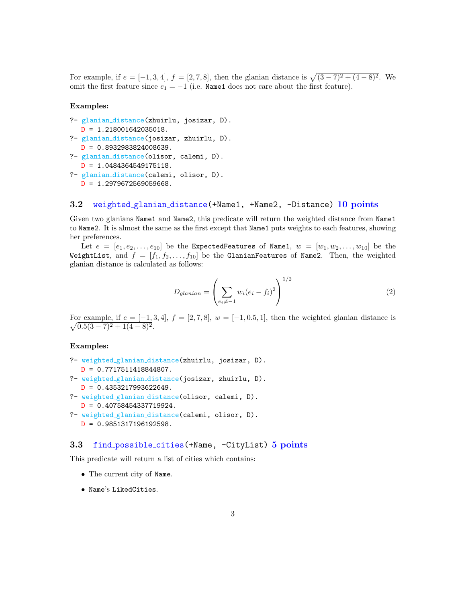For example, if  $e = [-1, 3, 4]$ ,  $f = [2, 7, 8]$ , then the glanian distance is  $\sqrt{(3-7)^2 + (4-8)^2}$ . We omit the first feature since  $e_1 = -1$  (i.e. Name1 does not care about the first feature).

#### Examples:

```
?- glanian distance(zhuirlu, josizar, D).
  D = 1.218001642035018.?- glanian distance(josizar, zhuirlu, D).
  D = 0.8932983824008639.?- glanian distance(olisor, calemi, D).
  D = 1.0484364549175118.?- glanian distance(calemi, olisor, D).
  D = 1.2979672569059668.
```
#### 3.2 weighted\_glanian\_distance(+Name1, +Name2, -Distance) 10 points

Given two glanians Name1 and Name2, this predicate will return the weighted distance from Name1 to Name2. It is almost the same as the first except that Name1 puts weights to each features, showing her preferences.

Let  $e = [e_1, e_2, \ldots, e_{10}]$  be the ExpectedFeatures of Name1,  $w = [w_1, w_2, \ldots, w_{10}]$  be the WeightList, and  $f = [f_1, f_2, \ldots, f_{10}]$  be the Glanian Features of Name2. Then, the weighted glanian distance is calculated as follows:

$$
D_{glanian} = \left(\sum_{e_i \neq -1} w_i (e_i - f_i)^2\right)^{1/2} \tag{2}
$$

 $\sqrt{ }$ For example, if  $e = [-1, 3, 4], f = [2, 7, 8], w = [-1, 0.5, 1],$  then the weighted glanian distance is  $(0.5(3-7)^2+1(4-8)^2)$ .

#### Examples:

```
?- weighted glanian distance(zhuirlu, josizar, D).
  D = 0.7717511418844807.?- weighted glanian distance(josizar, zhuirlu, D).
  D = 0.4353217993622649.?- weighted glanian distance(olisor, calemi, D).
  D = 0.40758454337719924.
```

```
?- weighted glanian distance(calemi, olisor, D).
  D = 0.9851317196192598.
```
#### 3.3 find possible cities(+Name, -CityList) 5 points

This predicate will return a list of cities which contains:

- The current city of Name.
- Name's LikedCities.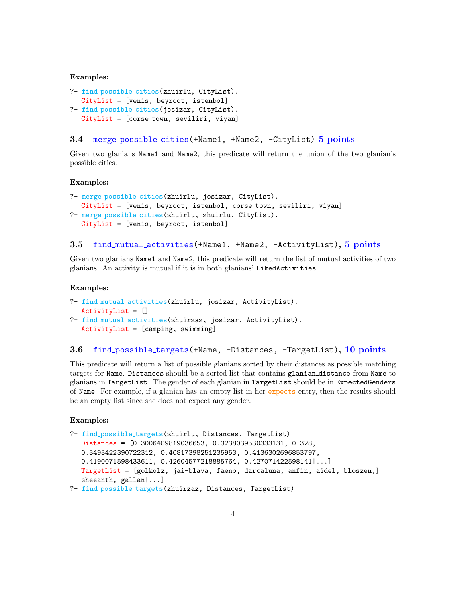#### Examples:

```
?- find possible cities(zhuirlu, CityList).
  CityList = [venis, beyroot, istenbol]
?- find possible cities(josizar, CityList).
  CityList = [corse town, seviliri, viyan]
```
### 3.4 merge possible cities(+Name1, +Name2, -CityList) 5 points

Given two glanians Name1 and Name2, this predicate will return the union of the two glanian's possible cities.

#### Examples:

```
?- merge possible cities(zhuirlu, josizar, CityList).
  CityList = [venis, beyroot, istenbol, corse town, seviliri, viyan]
?- merge possible cities(zhuirlu, zhuirlu, CityList).
  CityList = [venis, beyroot, istenbol]
```
#### 3.5 find mutual activities(+Name1, +Name2, -ActivityList), 5 points

Given two glanians Name1 and Name2, this predicate will return the list of mutual activities of two glanians. An activity is mutual if it is in both glanians' LikedActivities.

#### Examples:

```
?- find mutual activities(zhuirlu, josizar, ActivityList).
  ActivityList = []
?- find mutual activities(zhuirzaz, josizar, ActivityList).
  ActivityList = [camping, swimming]
```
#### 3.6 find possible targets (+Name, -Distances, -TargetList), 10 points

This predicate will return a list of possible glanians sorted by their distances as possible matching targets for Name. Distances should be a sorted list that contains glanian distance from Name to glanians in TargetList. The gender of each glanian in TargetList should be in ExpectedGenders of Name. For example, if a glanian has an empty list in her expects entry, then the results should be an empty list since she does not expect any gender.

#### Examples:

```
?- find possible targets(zhuirlu, Distances, TargetList)
  Distances = [0.3006409819036653, 0.3238039530333131, 0.328,
  0.3493422390722312, 0.40817398251235953, 0.4136302696853797,
  0.4190071598433611, 0.42604577218885764, 0.427071422598141|...]
  TargetList = [golkolz, jai-blava, faeno, darcaluna, anfin, aidel, bloszen,]
  sheeanth, gallan|...]
```

```
?- find possible targets(zhuirzaz, Distances, TargetList)
```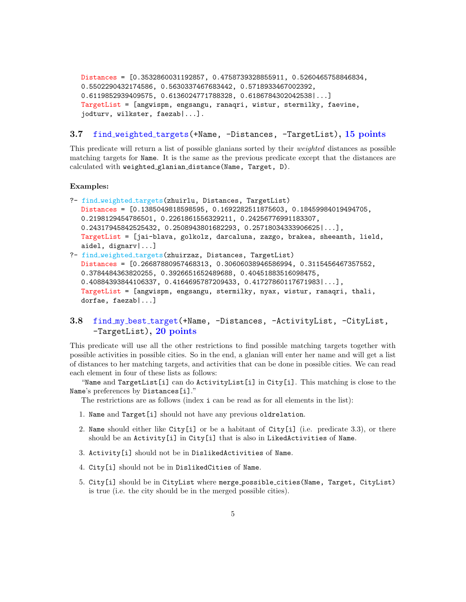```
Distances = [0.3532860031192857, 0.4758739328855911, 0.5260465758846834,
0.5502290432174586, 0.5630337467683442, 0.5718933467002392,
0.6119852939409575, 0.6136024771788328, 0.6186784302042538|...]
TargetList = [angwispm, engsangu, ranaqri, wistur, stermilky, faevine,
jodturv, wilkster, faezab|...].
```
#### 3.7 find\_weighted\_targets(+Name, -Distances, -TargetList), 15 points

This predicate will return a list of possible glanians sorted by their weighted distances as possible matching targets for Name. It is the same as the previous predicate except that the distances are calculated with weighted glanian distance(Name, Target, D).

#### Examples:

- ?- find\_weighted\_targets(zhuirlu, Distances, TargetList) Distances = [0.1385049818598595, 0.1692282511875603, 0.18459984019494705, 0.2198129454786501, 0.2261861556329211, 0.24256776991183307, 0.24317945842525432, 0.2508943801682293, 0.25718034333906625|...], TargetList = [jai-blava, golkolz, darcaluna, zazgo, brakea, sheeanth, lield, aidel, dignarv|...]
- ?- find weighted targets(zhuirzaz, Distances, TargetList) Distances = [0.26687880957468313, 0.30606038946586994, 0.3115456467357552, 0.3784484363820255, 0.3926651652489688, 0.40451883516098475, 0.40884393844106337, 0.4164695787209433, 0.41727860117671983|...], TargetList = [angwispm, engsangu, stermilky, nyax, wistur, ranaqri, thali, dorfae, faezab|...]

## 3.8 find my best target(+Name, -Distances, -ActivityList, -CityList, -TargetList), 20 points

This predicate will use all the other restrictions to find possible matching targets together with possible activities in possible cities. So in the end, a glanian will enter her name and will get a list of distances to her matching targets, and activities that can be done in possible cities. We can read each element in four of these lists as follows:

"Name and TargetList[i] can do ActivityList[i] in City[i]. This matching is close to the Name's preferences by Distances[i]."

The restrictions are as follows (index i can be read as for all elements in the list):

- 1. Name and Target[i] should not have any previous oldrelation.
- 2. Name should either like City[i] or be a habitant of City[i] (i.e. predicate 3.3), or there should be an Activity[i] in City[i] that is also in LikedActivities of Name.
- 3. Activity[i] should not be in DislikedActivities of Name.
- 4. City[i] should not be in DislikedCities of Name.
- 5. City[i] should be in CityList where merge possible cities(Name, Target, CityList) is true (i.e. the city should be in the merged possible cities).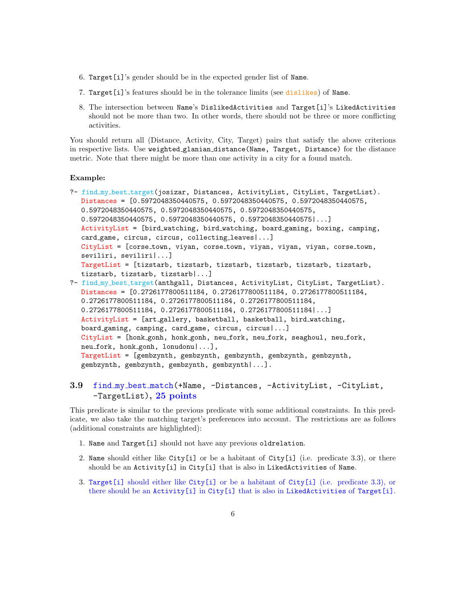- 6. Target[i]'s gender should be in the expected gender list of Name.
- 7. Target[i]'s features should be in the tolerance limits (see dislikes) of Name.
- 8. The intersection between Name's DislikedActivities and Target[i]'s LikedActivities should not be more than two. In other words, there should not be three or more conflicting activities.

You should return all (Distance, Activity, City, Target) pairs that satisfy the above criterions in respective lists. Use weighted glanian distance(Name, Target, Distance) for the distance metric. Note that there might be more than one activity in a city for a found match.

#### Example:

```
?- find my best target(josizar, Distances, ActivityList, CityList, TargetList).
  Distances = [0.5972048350440575, 0.5972048350440575, 0.5972048350440575,
  0.5972048350440575, 0.5972048350440575, 0.5972048350440575,
  0.5972048350440575, 0.5972048350440575, 0.5972048350440575|...]
  ActivityList = [bird watching, bird watching, board gaming, boxing, camping,
  card_game, circus, circus, collecting_leaves|...]
  CityList = [corse town, viyan, corse town, viyan, viyan, viyan, corse town,
  seviliri, seviliri|...]
  TargetList = [tizstarb, tizstarb, tizstarb, tizstarb, tizstarb, tizstarb,
  tizstarb, tizstarb, tizstarb|...]
?- find my best target(anthgall, Distances, ActivityList, CityList, TargetList).
  Distances = [0.2726177800511184, 0.2726177800511184, 0.2726177800511184,
  0.2726177800511184, 0.2726177800511184, 0.2726177800511184,
  0.2726177800511184, 0.2726177800511184, 0.2726177800511184|...]
  ActivityList = [art gallery, basketball, basketball, bird watching,
  board gaming, camping, card game, circus, circus|...]
  CityList = [honk gonh, honk gonh, neu fork, neu fork, seaghoul, neu fork,
  neu fork, honk gonh, lonudonu|...],
```
TargetList = [gembzynth, gembzynth, gembzynth, gembzynth, gembzynth, gembzynth, gembzynth, gembzynth, gembzynth|...].

### 3.9 find my best match(+Name, -Distances, -ActivityList, -CityList, -TargetList), 25 points

This predicate is similar to the previous predicate with some additional constraints. In this predicate, we also take the matching target's preferences into account. The restrictions are as follows (additional constraints are highlighted):

- 1. Name and Target[i] should not have any previous oldrelation.
- 2. Name should either like City[i] or be a habitant of City[i] (i.e. predicate 3.3), or there should be an Activity[i] in City[i] that is also in LikedActivities of Name.
- 3. Target[i] should either like City[i] or be a habitant of City[i] (i.e. predicate 3.3), or there should be an Activity[i] in City[i] that is also in LikedActivities of Target[i].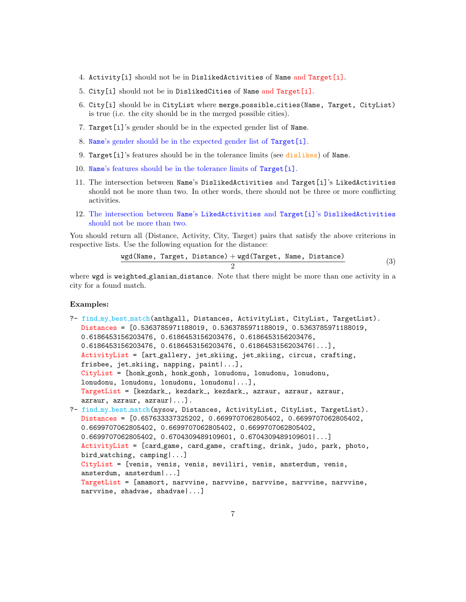- 4. Activity[i] should not be in DislikedActivities of Name and Target[i].
- 5. City[i] should not be in DislikedCities of Name and Target[i].
- 6. City[i] should be in CityList where merge possible cities(Name, Target, CityList) is true (i.e. the city should be in the merged possible cities).
- 7. Target[i]'s gender should be in the expected gender list of Name.
- 8. Name's gender should be in the expected gender list of Target[i].
- 9. Target[i]'s features should be in the tolerance limits (see dislikes) of Name.
- 10. Name's features should be in the tolerance limits of Target[i].
- 11. The intersection between Name's DislikedActivities and Target[i]'s LikedActivities should not be more than two. In other words, there should not be three or more conflicting activities.
- 12. The intersection between Name's LikedActivities and Target[i]'s DislikedActivities should not be more than two.

You should return all (Distance, Activity, City, Target) pairs that satisfy the above criterions in respective lists. Use the following equation for the distance:

$$
\frac{\text{wgd}(\text{Name, Target, Distance}) + \text{wgd}(\text{Target, Name, Distance})}{2}
$$
 (3)

where wgd is weighted glanian distance. Note that there might be more than one activity in a city for a found match.

#### Examples:

```
?- find my best match(anthgall, Distances, ActivityList, CityList, TargetList).
  Distances = [0.5363785971188019, 0.5363785971188019, 0.5363785971188019,
  0.6186453156203476, 0.6186453156203476, 0.6186453156203476,
  0.6186453156203476, 0.6186453156203476, 0.6186453156203476|...],
  ActivityList = [art gallery, jet skiing, jet skiing, circus, crafting,
  frisbee, jet_skiing, napping, paint | ... ],
  CityList = [honk gonh, honk gonh, lonudonu, lonudonu, lonudonu,
  lonudonu, lonudonu, lonudonu, lonudonu|...],
  TargetList = [kezdark_, kezdark_, kezdark_, azraur, azraur, azraur,
  azraur, azraur, azraur|...].
?- find my best match(nysow, Distances, ActivityList, CityList, TargetList).
  Distances = [0.657633337325202, 0.6699707062805402, 0.6699707062805402,
  0.6699707062805402, 0.6699707062805402, 0.6699707062805402,
  0.6699707062805402, 0.6704309489109601, 0.6704309489109601|...]
  ActivityList = [card game, card game, crafting, drink, judo, park, photo,
  bird watching, camping|...]
  CityList = [venis, venis, venis, seviliri, venis, ansterdum, venis,
  ansterdum, ansterdum|...]
  TargetList = [amamort, narvvine, narvvine, narvvine, narvvine, narvvine,
  narvvine, shadvae, shadvae|...]
```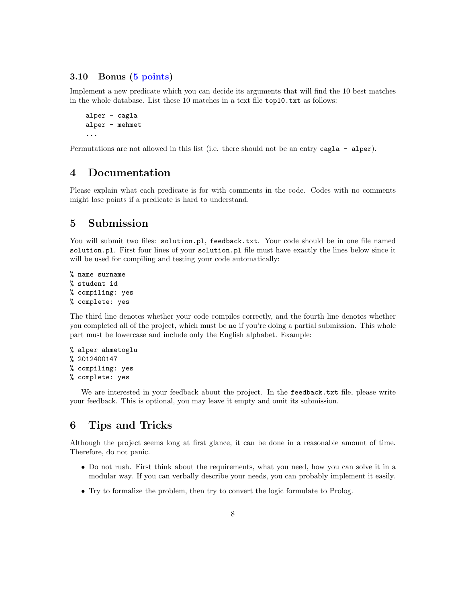### 3.10 Bonus (5 points)

Implement a new predicate which you can decide its arguments that will find the 10 best matches in the whole database. List these 10 matches in a text file top10.txt as follows:

```
alper - cagla
alper - mehmet
...
```
Permutations are not allowed in this list (i.e. there should not be an entry cagla - alper).

# 4 Documentation

Please explain what each predicate is for with comments in the code. Codes with no comments might lose points if a predicate is hard to understand.

# 5 Submission

You will submit two files: solution.pl, feedback.txt. Your code should be in one file named solution.pl. First four lines of your solution.pl file must have exactly the lines below since it will be used for compiling and testing your code automatically:

```
% name surname
% student id
% compiling: yes
% complete: yes
```
The third line denotes whether your code compiles correctly, and the fourth line denotes whether you completed all of the project, which must be no if you're doing a partial submission. This whole part must be lowercase and include only the English alphabet. Example:

```
% alper ahmetoglu
% 2012400147
% compiling: yes
% complete: yes
```
We are interested in your feedback about the project. In the feedback.txt file, please write your feedback. This is optional, you may leave it empty and omit its submission.

# 6 Tips and Tricks

Although the project seems long at first glance, it can be done in a reasonable amount of time. Therefore, do not panic.

- Do not rush. First think about the requirements, what you need, how you can solve it in a modular way. If you can verbally describe your needs, you can probably implement it easily.
- Try to formalize the problem, then try to convert the logic formulate to Prolog.